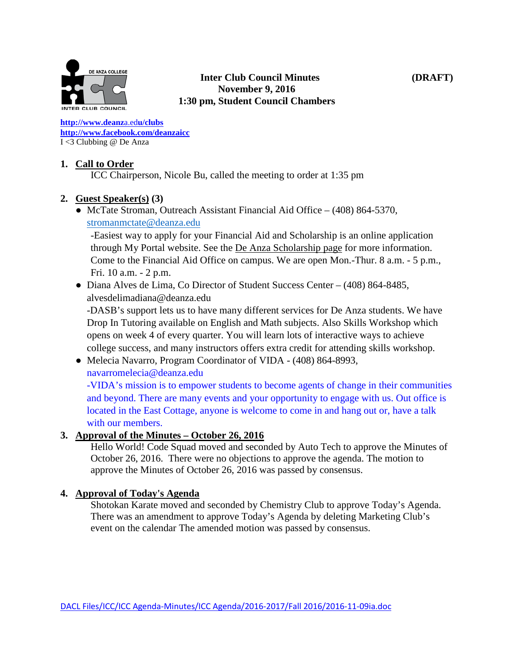

#### **Inter Club Council Minutes (DRAFT) November 9, 2016 1:30 pm, Student Council Chambers**

**[http://www.deanz](http://www.deanza.edu/clubs)**[a.ed](http://www.deanza.edu/clubs)**[u/clubs](http://www.deanza.edu/clubs) [http://www.facebook.com/deanzaicc](http://www.facebook.com/home.php#!/group.php?gid=59034552686)** I <3 Clubbing @ De Anza

# **1. Call to Order**

ICC Chairperson, Nicole Bu, called the meeting to order at 1:35 pm

# **2. Guest Speaker(s) (3)**

● McTate Stroman, Outreach Assistant Financial Aid Office – (408) 864-5370, [stromanmctate@deanza.edu](mailto:stromanmctate@deanza.edu)

-Easiest way to apply for your Financial Aid and Scholarship is an online application through My Portal website. See the [De Anza Scholarship page](http://www.deanza.edu/financialaid/scholarship.html) for more information. Come to the Financial Aid Office on campus. We are open Mon.-Thur. 8 a.m. - 5 p.m., Fri. 10 a.m. - 2 p.m.

• Diana Alves de Lima, Co Director of Student Success Center – (408) 864-8485, alvesdelimadiana@deanza.edu

-DASB's support lets us to have many different services for De Anza students. We have Drop In Tutoring available on English and Math subjects. Also Skills Workshop which opens on week 4 of every quarter. You will learn lots of interactive ways to achieve college success, and many instructors offers extra credit for attending skills workshop.

● Melecia Navarro, Program Coordinator of VIDA - (408) 864-8993,

[navarromelecia@deanza.edu](mailto:navarromelecia@deanza.edu)

-VIDA's mission is to empower students to become agents of change in their communities and beyond. There are many events and your opportunity to engage with us. Out office is located in the East Cottage, anyone is welcome to come in and hang out or, have a talk with our members.

## **3. Approval of the Minutes – October 26, 2016**

Hello World! Code Squad moved and seconded by Auto Tech to approve the Minutes of October 26, 2016. There were no objections to approve the agenda. The motion to approve the Minutes of October 26, 2016 was passed by consensus.

## **4. Approval of Today's Agenda**

Shotokan Karate moved and seconded by Chemistry Club to approve Today's Agenda. There was an amendment to approve Today's Agenda by deleting Marketing Club's event on the calendar The amended motion was passed by consensus.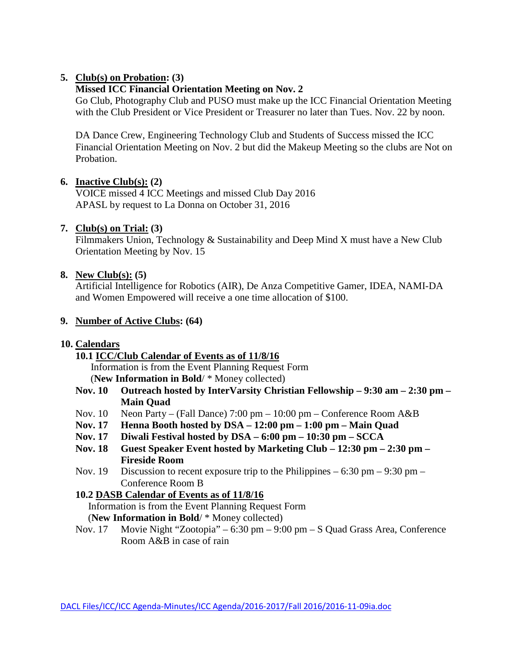## **5. Club(s) on Probation: (3)**

#### **Missed ICC Financial Orientation Meeting on Nov. 2**

Go Club, Photography Club and PUSO must make up the ICC Financial Orientation Meeting with the Club President or Vice President or Treasurer no later than Tues. Nov. 22 by noon.

DA Dance Crew, Engineering Technology Club and Students of Success missed the ICC Financial Orientation Meeting on Nov. 2 but did the Makeup Meeting so the clubs are Not on Probation.

#### **6. Inactive Club(s): (2)**

VOICE missed 4 ICC Meetings and missed Club Day 2016 APASL by request to La Donna on October 31, 2016

#### **7. Club(s) on Trial: (3)**

Filmmakers Union, Technology & Sustainability and Deep Mind X must have a New Club Orientation Meeting by Nov. 15

#### **8. New Club(s): (5)**

Artificial Intelligence for Robotics (AIR), De Anza Competitive Gamer, IDEA, NAMI-DA and Women Empowered will receive a one time allocation of \$100.

#### **9. Number of Active Clubs: (64)**

#### **10. Calendars**

**10.1 ICC/Club Calendar of Events as of 11/8/16**

 Information is from the Event Planning Request Form (**New Information in Bold**/ \* Money collected)

- **Nov. 10 Outreach hosted by InterVarsity Christian Fellowship – 9:30 am – 2:30 pm – Main Quad**
- Nov. 10 Neon Party (Fall Dance) 7:00 pm 10:00 pm Conference Room A&B
- **Nov. 17 Henna Booth hosted by DSA – 12:00 pm – 1:00 pm – Main Quad**
- **Nov. 17 Diwali Festival hosted by DSA – 6:00 pm – 10:30 pm – SCCA**
- **Nov. 18 Guest Speaker Event hosted by Marketing Club – 12:30 pm – 2:30 pm – Fireside Room**
- Nov. 19 Discussion to recent exposure trip to the Philippines  $-6:30$  pm  $-9:30$  pm  $-$ Conference Room B

## **10.2 DASB Calendar of Events as of 11/8/16**

Information is from the Event Planning Request Form

(**New Information in Bold**/ \* Money collected)

Nov. 17 Movie Night "Zootopia" – 6:30 pm – 9:00 pm – S Quad Grass Area, Conference Room A&B in case of rain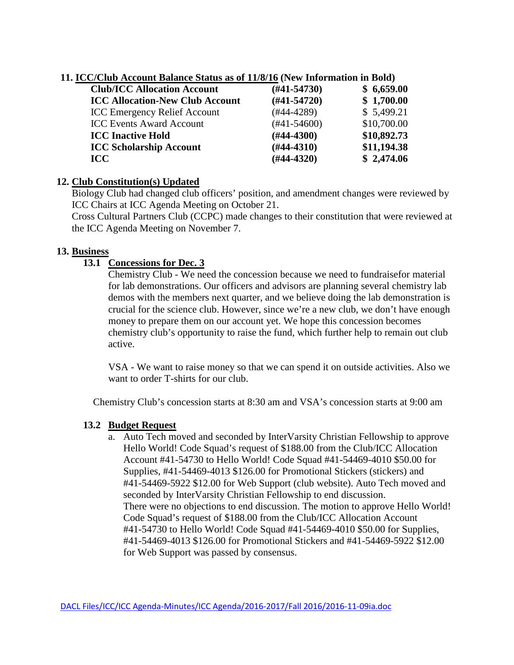|  |  |  |  |  |  |  |  | 11. ICC/Club Account Balance Status as of 11/8/16 (New Information in Bold) |  |
|--|--|--|--|--|--|--|--|-----------------------------------------------------------------------------|--|
|--|--|--|--|--|--|--|--|-----------------------------------------------------------------------------|--|

| <b>Club/ICC Allocation Account</b>     | $(H41-54730)$    | \$6,659.00  |  |
|----------------------------------------|------------------|-------------|--|
| <b>ICC Allocation-New Club Account</b> | $(H41-54720)$    | \$1,700.00  |  |
| <b>ICC Emergency Relief Account</b>    | $(#44-4289)$     | \$5,499.21  |  |
| <b>ICC Events Award Account</b>        | $(\#41 - 54600)$ | \$10,700.00 |  |
| <b>ICC Inactive Hold</b>               | $(\#44 - 4300)$  | \$10,892.73 |  |
| <b>ICC Scholarship Account</b>         | $(H44-4310)$     | \$11,194.38 |  |
| <b>ICC</b>                             | $(H44-4320)$     | \$2,474.06  |  |

## **12. Club Constitution(s) Updated**

Biology Club had changed club officers' position, and amendment changes were reviewed by ICC Chairs at ICC Agenda Meeting on October 21.

Cross Cultural Partners Club (CCPC) made changes to their constitution that were reviewed at the ICC Agenda Meeting on November 7.

# **13. Business**

# **13.1 Concessions for Dec. 3**

Chemistry Club - We need the concession because we need to fundraisefor material for lab demonstrations. Our officers and advisors are planning several chemistry lab demos with the members next quarter, and we believe doing the lab demonstration is crucial for the science club. However, since we're a new club, we don't have enough money to prepare them on our account yet. We hope this concession becomes chemistry club's opportunity to raise the fund, which further help to remain out club active.

VSA - We want to raise money so that we can spend it on outside activities. Also we want to order T-shirts for our club.

Chemistry Club's concession starts at 8:30 am and VSA's concession starts at 9:00 am

# **13.2 Budget Request**

a. Auto Tech moved and seconded by InterVarsity Christian Fellowship to approve Hello World! Code Squad's request of \$188.00 from the Club/ICC Allocation Account #41-54730 to Hello World! Code Squad #41-54469-4010 \$50.00 for Supplies, #41-54469-4013 \$126.00 for Promotional Stickers (stickers) and #41-54469-5922 \$12.00 for Web Support (club website). Auto Tech moved and seconded by InterVarsity Christian Fellowship to end discussion. There were no objections to end discussion. The motion to approve Hello World! Code Squad's request of \$188.00 from the Club/ICC Allocation Account #41-54730 to Hello World! Code Squad #41-54469-4010 \$50.00 for Supplies, #41-54469-4013 \$126.00 for Promotional Stickers and #41-54469-5922 \$12.00 for Web Support was passed by consensus.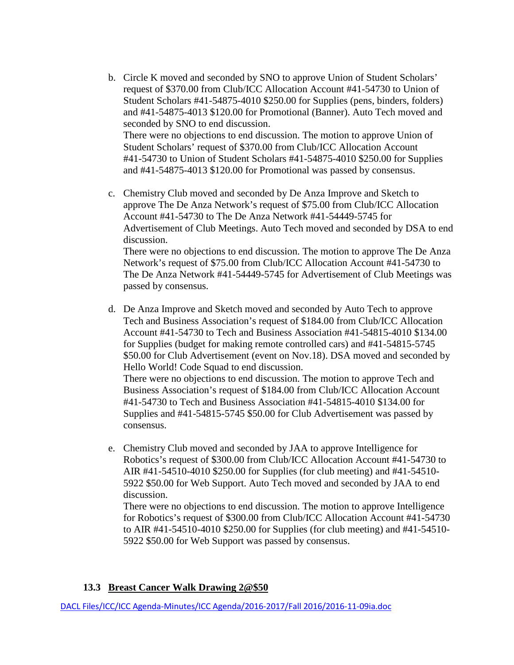- b. Circle K moved and seconded by SNO to approve Union of Student Scholars' request of \$370.00 from Club/ICC Allocation Account #41-54730 to Union of Student Scholars #41-54875-4010 \$250.00 for Supplies (pens, binders, folders) and #41-54875-4013 \$120.00 for Promotional (Banner). Auto Tech moved and seconded by SNO to end discussion. There were no objections to end discussion. The motion to approve Union of Student Scholars' request of \$370.00 from Club/ICC Allocation Account #41-54730 to Union of Student Scholars #41-54875-4010 \$250.00 for Supplies and #41-54875-4013 \$120.00 for Promotional was passed by consensus.
- c. Chemistry Club moved and seconded by De Anza Improve and Sketch to approve The De Anza Network's request of \$75.00 from Club/ICC Allocation Account #41-54730 to The De Anza Network #41-54449-5745 for Advertisement of Club Meetings. Auto Tech moved and seconded by DSA to end discussion. There were no objections to end discussion. The motion to approve The De Anza Network's request of \$75.00 from Club/ICC Allocation Account #41-54730 to The De Anza Network #41-54449-5745 for Advertisement of Club Meetings was

passed by consensus.

d. De Anza Improve and Sketch moved and seconded by Auto Tech to approve Tech and Business Association's request of \$184.00 from Club/ICC Allocation Account #41-54730 to Tech and Business Association #41-54815-4010 \$134.00 for Supplies (budget for making remote controlled cars) and #41-54815-5745 \$50.00 for Club Advertisement (event on Nov.18). DSA moved and seconded by Hello World! Code Squad to end discussion.

There were no objections to end discussion. The motion to approve Tech and Business Association's request of \$184.00 from Club/ICC Allocation Account #41-54730 to Tech and Business Association #41-54815-4010 \$134.00 for Supplies and #41-54815-5745 \$50.00 for Club Advertisement was passed by consensus.

e. Chemistry Club moved and seconded by JAA to approve Intelligence for Robotics's request of \$300.00 from Club/ICC Allocation Account #41-54730 to AIR #41-54510-4010 \$250.00 for Supplies (for club meeting) and #41-54510- 5922 \$50.00 for Web Support. Auto Tech moved and seconded by JAA to end discussion.

There were no objections to end discussion. The motion to approve Intelligence for Robotics's request of \$300.00 from Club/ICC Allocation Account #41-54730 to AIR #41-54510-4010 \$250.00 for Supplies (for club meeting) and #41-54510- 5922 \$50.00 for Web Support was passed by consensus.

## **13.3 Breast Cancer Walk Drawing 2@\$50**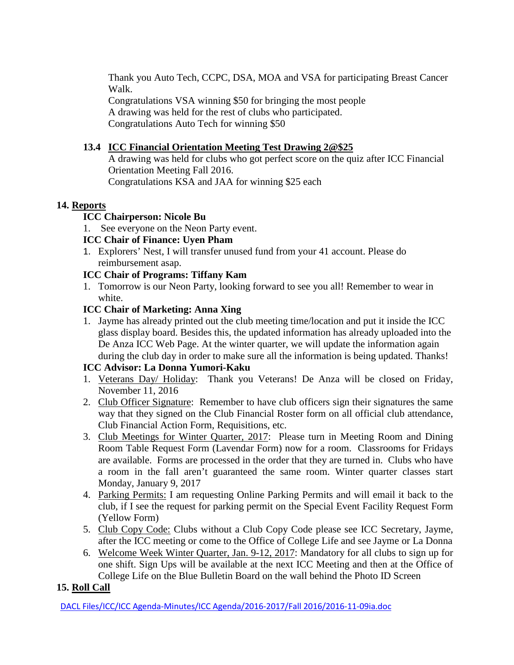Thank you Auto Tech, CCPC, DSA, MOA and VSA for participating Breast Cancer Walk.

Congratulations VSA winning \$50 for bringing the most people A drawing was held for the rest of clubs who participated. Congratulations Auto Tech for winning \$50

# **13.4 ICC Financial Orientation Meeting Test Drawing 2@\$25**

A drawing was held for clubs who got perfect score on the quiz after ICC Financial Orientation Meeting Fall 2016. Congratulations KSA and JAA for winning \$25 each

## **14. Reports**

# **ICC Chairperson: Nicole Bu**

1. See everyone on the Neon Party event.

# **ICC Chair of Finance: Uyen Pham**

1. Explorers' Nest, I will transfer unused fund from your 41 account. Please do reimbursement asap.

# **ICC Chair of Programs: Tiffany Kam**

1. Tomorrow is our Neon Party, looking forward to see you all! Remember to wear in white.

# **ICC Chair of Marketing: Anna Xing**

1. Jayme has already printed out the club meeting time/location and put it inside the ICC glass display board. Besides this, the updated information has already uploaded into the De Anza ICC Web Page. At the winter quarter, we will update the information again during the club day in order to make sure all the information is being updated. Thanks!

# **ICC Advisor: La Donna Yumori-Kaku**

- 1. Veterans Day/ Holiday: Thank you Veterans! De Anza will be closed on Friday, November 11, 2016
- 2. Club Officer Signature: Remember to have club officers sign their signatures the same way that they signed on the Club Financial Roster form on all official club attendance, Club Financial Action Form, Requisitions, etc.
- 3. Club Meetings for Winter Quarter, 2017: Please turn in Meeting Room and Dining Room Table Request Form (Lavendar Form) now for a room. Classrooms for Fridays are available. Forms are processed in the order that they are turned in. Clubs who have a room in the fall aren't guaranteed the same room. Winter quarter classes start Monday, January 9, 2017
- 4. Parking Permits: I am requesting Online Parking Permits and will email it back to the club, if I see the request for parking permit on the Special Event Facility Request Form (Yellow Form)
- 5. Club Copy Code: Clubs without a Club Copy Code please see ICC Secretary, Jayme, after the ICC meeting or come to the Office of College Life and see Jayme or La Donna
- 6. Welcome Week Winter Quarter, Jan. 9-12, 2017: Mandatory for all clubs to sign up for one shift. Sign Ups will be available at the next ICC Meeting and then at the Office of College Life on the Blue Bulletin Board on the wall behind the Photo ID Screen

# **15. Roll Call**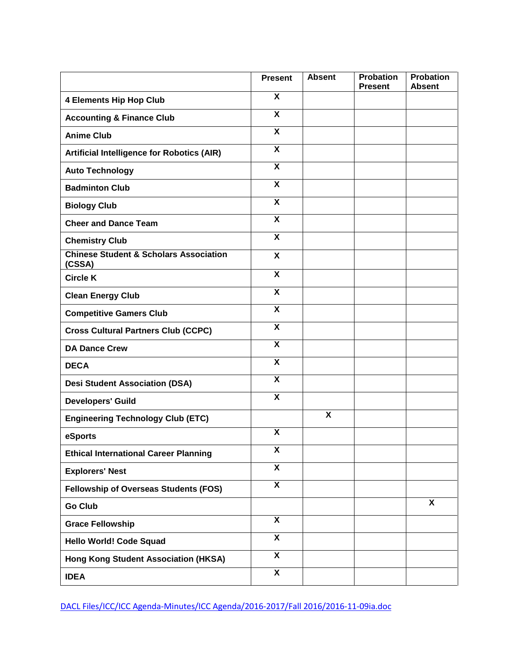|                                                             | <b>Present</b>            | <b>Absent</b> | <b>Probation</b><br><b>Present</b> | <b>Probation</b><br><b>Absent</b> |
|-------------------------------------------------------------|---------------------------|---------------|------------------------------------|-----------------------------------|
| <b>4 Elements Hip Hop Club</b>                              | $\boldsymbol{\mathsf{x}}$ |               |                                    |                                   |
| <b>Accounting &amp; Finance Club</b>                        | $\overline{\mathbf{x}}$   |               |                                    |                                   |
| <b>Anime Club</b>                                           | $\boldsymbol{\mathsf{x}}$ |               |                                    |                                   |
| <b>Artificial Intelligence for Robotics (AIR)</b>           | X                         |               |                                    |                                   |
| <b>Auto Technology</b>                                      | $\boldsymbol{\mathsf{x}}$ |               |                                    |                                   |
| <b>Badminton Club</b>                                       | $\overline{\mathbf{x}}$   |               |                                    |                                   |
| <b>Biology Club</b>                                         | $\overline{\mathbf{x}}$   |               |                                    |                                   |
| <b>Cheer and Dance Team</b>                                 | X                         |               |                                    |                                   |
| <b>Chemistry Club</b>                                       | $\boldsymbol{\mathsf{x}}$ |               |                                    |                                   |
| <b>Chinese Student &amp; Scholars Association</b><br>(CSSA) | $\boldsymbol{\mathsf{x}}$ |               |                                    |                                   |
| <b>Circle K</b>                                             | $\boldsymbol{\mathsf{X}}$ |               |                                    |                                   |
| <b>Clean Energy Club</b>                                    | $\boldsymbol{\mathsf{x}}$ |               |                                    |                                   |
| <b>Competitive Gamers Club</b>                              | $\boldsymbol{\mathsf{x}}$ |               |                                    |                                   |
| <b>Cross Cultural Partners Club (CCPC)</b>                  | $\overline{\mathbf{x}}$   |               |                                    |                                   |
| <b>DA Dance Crew</b>                                        | X                         |               |                                    |                                   |
| <b>DECA</b>                                                 | $\overline{\mathbf{x}}$   |               |                                    |                                   |
| <b>Desi Student Association (DSA)</b>                       | $\boldsymbol{\mathsf{X}}$ |               |                                    |                                   |
| <b>Developers' Guild</b>                                    | $\overline{\mathbf{x}}$   |               |                                    |                                   |
| <b>Engineering Technology Club (ETC)</b>                    |                           | X             |                                    |                                   |
| eSports                                                     | $\boldsymbol{\mathsf{x}}$ |               |                                    |                                   |
| <b>Ethical International Career Planning</b>                | X                         |               |                                    |                                   |
| <b>Explorers' Nest</b>                                      | $\overline{\mathbf{x}}$   |               |                                    |                                   |
| Fellowship of Overseas Students (FOS)                       | X                         |               |                                    |                                   |
| <b>Go Club</b>                                              |                           |               |                                    | $\overline{\mathbf{x}}$           |
| <b>Grace Fellowship</b>                                     | $\overline{\mathbf{x}}$   |               |                                    |                                   |
| <b>Hello World! Code Squad</b>                              | $\overline{\mathbf{x}}$   |               |                                    |                                   |
| <b>Hong Kong Student Association (HKSA)</b>                 | $\overline{\mathbf{X}}$   |               |                                    |                                   |
| <b>IDEA</b>                                                 | $\overline{\mathbf{x}}$   |               |                                    |                                   |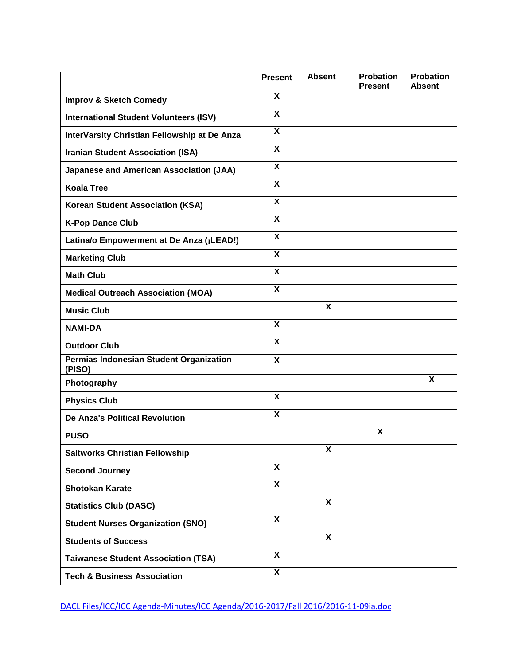|                                                   | <b>Present</b>            | <b>Absent</b> | <b>Probation</b><br><b>Present</b> | <b>Probation</b><br><b>Absent</b> |
|---------------------------------------------------|---------------------------|---------------|------------------------------------|-----------------------------------|
| <b>Improv &amp; Sketch Comedy</b>                 | X                         |               |                                    |                                   |
| <b>International Student Volunteers (ISV)</b>     | $\overline{\mathbf{x}}$   |               |                                    |                                   |
| InterVarsity Christian Fellowship at De Anza      | $\boldsymbol{\mathsf{x}}$ |               |                                    |                                   |
| <b>Iranian Student Association (ISA)</b>          | $\boldsymbol{\mathsf{x}}$ |               |                                    |                                   |
| <b>Japanese and American Association (JAA)</b>    | $\boldsymbol{\mathsf{x}}$ |               |                                    |                                   |
| <b>Koala Tree</b>                                 | $\overline{\mathbf{x}}$   |               |                                    |                                   |
| <b>Korean Student Association (KSA)</b>           | $\boldsymbol{\mathsf{X}}$ |               |                                    |                                   |
| <b>K-Pop Dance Club</b>                           | $\boldsymbol{\mathsf{X}}$ |               |                                    |                                   |
| Latina/o Empowerment at De Anza (¡LEAD!)          | $\boldsymbol{\mathsf{X}}$ |               |                                    |                                   |
| <b>Marketing Club</b>                             | $\boldsymbol{\mathsf{X}}$ |               |                                    |                                   |
| <b>Math Club</b>                                  | $\boldsymbol{\mathsf{X}}$ |               |                                    |                                   |
| <b>Medical Outreach Association (MOA)</b>         | X                         |               |                                    |                                   |
| <b>Music Club</b>                                 |                           | X             |                                    |                                   |
| <b>NAMI-DA</b>                                    | X                         |               |                                    |                                   |
| <b>Outdoor Club</b>                               | $\overline{\mathbf{x}}$   |               |                                    |                                   |
| Permias Indonesian Student Organization<br>(PISO) | $\boldsymbol{\mathsf{X}}$ |               |                                    |                                   |
| Photography                                       |                           |               |                                    | X                                 |
| <b>Physics Club</b>                               | $\overline{\mathbf{x}}$   |               |                                    |                                   |
| <b>De Anza's Political Revolution</b>             | X                         |               |                                    |                                   |
| <b>PUSO</b>                                       |                           |               | X                                  |                                   |
| <b>Saltworks Christian Fellowship</b>             |                           | X             |                                    |                                   |
| <b>Second Journey</b>                             | $\overline{\mathbf{x}}$   |               |                                    |                                   |
| <b>Shotokan Karate</b>                            | $\overline{\mathbf{X}}$   |               |                                    |                                   |
| <b>Statistics Club (DASC)</b>                     |                           | X             |                                    |                                   |
| <b>Student Nurses Organization (SNO)</b>          | X                         |               |                                    |                                   |
| <b>Students of Success</b>                        |                           | X             |                                    |                                   |
| <b>Taiwanese Student Association (TSA)</b>        | $\boldsymbol{\mathsf{X}}$ |               |                                    |                                   |
| <b>Tech &amp; Business Association</b>            | $\overline{\mathbf{x}}$   |               |                                    |                                   |